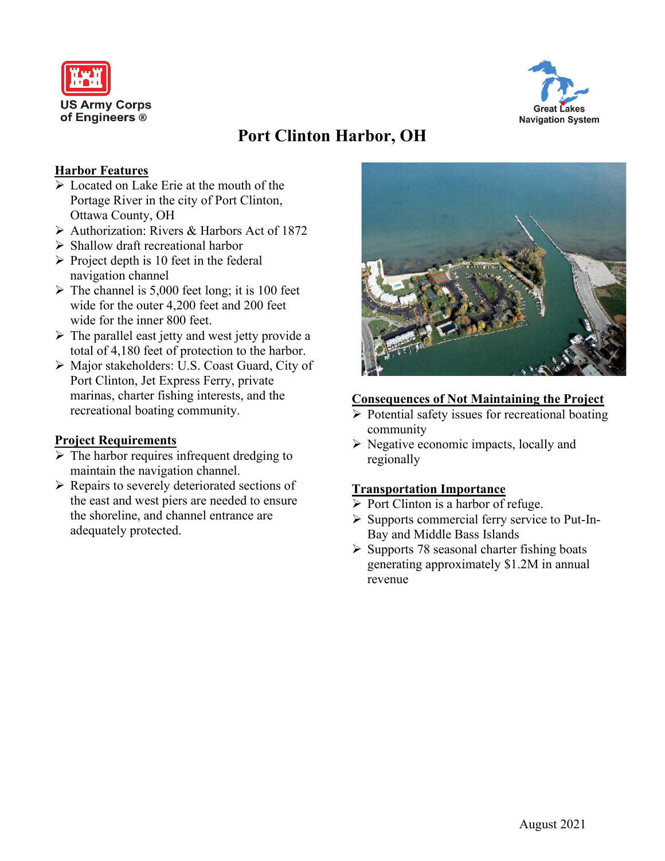



# **Port Clinton Harbor, OH**

### **Harbor Features**

- Located on Lake Erie at the mouth of the Portage River in the city of Port Clinton, Ottawa County, OH
- $\triangleright$  Authorization: Rivers & Harbors Act of 1872
- $\triangleright$  Shallow draft recreational harbor
- $\triangleright$  Project depth is 10 feet in the federal navigation channel
- $\triangleright$  The channel is 5,000 feet long; it is 100 feet wide for the outer 4,200 feet and 200 feet wide for the inner 800 feet.
- $\triangleright$  The parallel east jetty and west jetty provide a total of 4,180 feet of protection to the harbor.
- Major stakeholders: U.S. Coast Guard, City of Port Clinton, Jet Express Ferry, private marinas, charter fishing interests, and the recreational boating community.

#### **Project Requirements**

- $\triangleright$  The harbor requires infrequent dredging to maintain the navigation channel.
- $\triangleright$  Repairs to severely deteriorated sections of the east and west piers are needed to ensure the shoreline, and channel entrance are adequately protected.



#### **Consequences of Not Maintaining the Project**

- $\triangleright$  Potential safety issues for recreational boating community
- $\triangleright$  Negative economic impacts, locally and regionally

#### **Transportation Importance**

- $\triangleright$  Port Clinton is a harbor of refuge.
- $\triangleright$  Supports commercial ferry service to Put-In-Bay and Middle Bass Islands
- $\triangleright$  Supports 78 seasonal charter fishing boats generating approximately \$1.2M in annual revenue